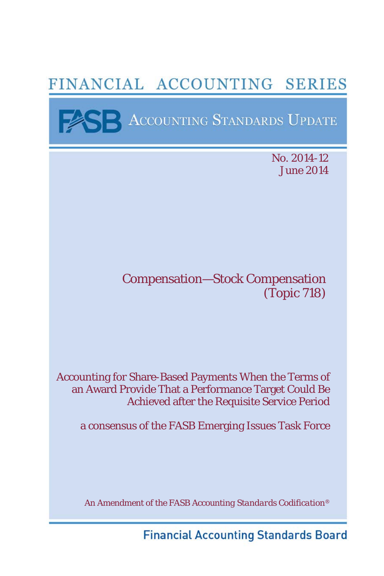# FINANCIAL ACCOUNTING SERIES

**EXECUTING STANDARDS UPDATE** 

No. 2014-12 June 2014

## Compensation—Stock Compensation (Topic 718)

Accounting for Share-Based Payments When the Terms of an Award Provide That a Performance Target Could Be Achieved after the Requisite Service Period

a consensus of the FASB Emerging Issues Task Force

An Amendment of the *FASB Accounting Standards Codification*®

**Financial Accounting Standards Board**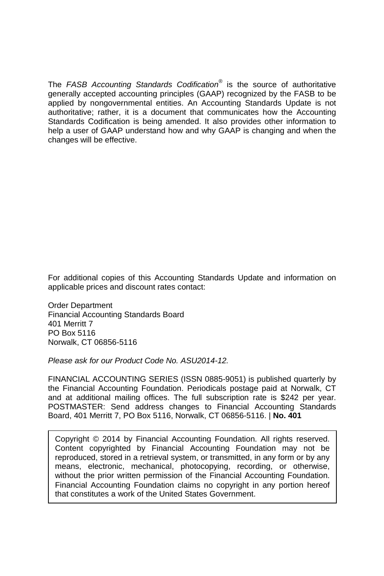The *FASB Accounting Standards Codification®* is the source of authoritative generally accepted accounting principles (GAAP) recognized by the FASB to be applied by nongovernmental entities. An Accounting Standards Update is not authoritative; rather, it is a document that communicates how the Accounting Standards Codification is being amended. It also provides other information to help a user of GAAP understand how and why GAAP is changing and when the changes will be effective.

For additional copies of this Accounting Standards Update and information on applicable prices and discount rates contact:

Order Department Financial Accounting Standards Board 401 Merritt 7 PO Box 5116 Norwalk, CT 06856-5116

*Please ask for our Product Code No. ASU2014-12.*

FINANCIAL ACCOUNTING SERIES (ISSN 0885-9051) is published quarterly by the Financial Accounting Foundation. Periodicals postage paid at Norwalk, CT and at additional mailing offices. The full subscription rate is \$242 per year. POSTMASTER: Send address changes to Financial Accounting Standards Board, 401 Merritt 7, PO Box 5116, Norwalk, CT 06856-5116. | **No. 401**

Copyright © 2014 by Financial Accounting Foundation. All rights reserved. Content copyrighted by Financial Accounting Foundation may not be reproduced, stored in a retrieval system, or transmitted, in any form or by any means, electronic, mechanical, photocopying, recording, or otherwise, without the prior written permission of the Financial Accounting Foundation. Financial Accounting Foundation claims no copyright in any portion hereof that constitutes a work of the United States Government.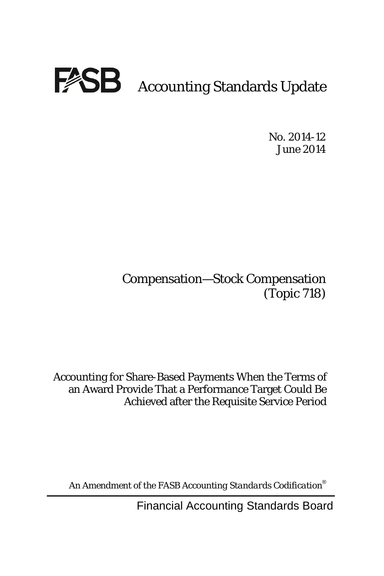

No. 2014-12 June 2014

## Compensation—Stock Compensation (Topic 718)

Accounting for Share-Based Payments When the Terms of an Award Provide That a Performance Target Could Be Achieved after the Requisite Service Period

An Amendment of the *FASB Accounting Standards Codification*®

Financial Accounting Standards Board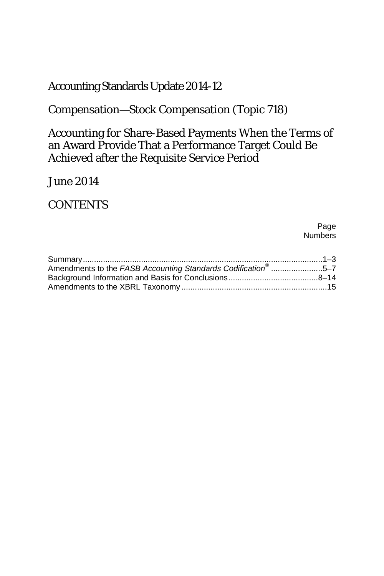### Accounting Standards Update 2014-12

### Compensation—Stock Compensation (Topic 718)

Accounting for Share-Based Payments When the Terms of an Award Provide That a Performance Target Could Be Achieved after the Requisite Service Period

June 2014

**CONTENTS** 

Page Numbers

| Amendments to the FASB Accounting Standards Codification <sup>®</sup> 5-7 |  |
|---------------------------------------------------------------------------|--|
|                                                                           |  |
|                                                                           |  |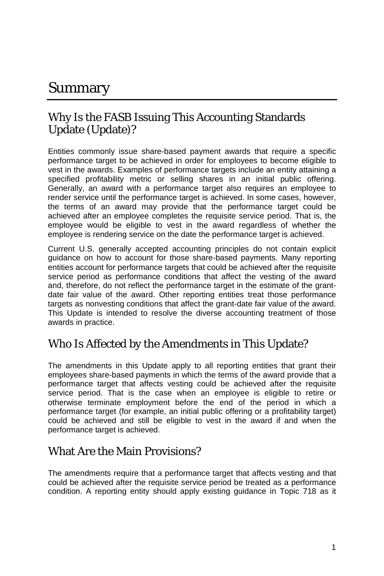## Summary

### Why Is the FASB Issuing This Accounting Standards Update (Update)?

Entities commonly issue share-based payment awards that require a specific performance target to be achieved in order for employees to become eligible to vest in the awards. Examples of performance targets include an entity attaining a specified profitability metric or selling shares in an initial public offering. Generally, an award with a performance target also requires an employee to render service until the performance target is achieved. In some cases, however, the terms of an award may provide that the performance target could be achieved after an employee completes the requisite service period. That is, the employee would be eligible to vest in the award regardless of whether the employee is rendering service on the date the performance target is achieved.

Current U.S. generally accepted accounting principles do not contain explicit guidance on how to account for those share-based payments. Many reporting entities account for performance targets that could be achieved after the requisite service period as performance conditions that affect the vesting of the award and, therefore, do not reflect the performance target in the estimate of the grantdate fair value of the award. Other reporting entities treat those performance targets as nonvesting conditions that affect the grant-date fair value of the award. This Update is intended to resolve the diverse accounting treatment of those awards in practice.

### Who Is Affected by the Amendments in This Update?

The amendments in this Update apply to all reporting entities that grant their employees share-based payments in which the terms of the award provide that a performance target that affects vesting could be achieved after the requisite service period. That is the case when an employee is eligible to retire or otherwise terminate employment before the end of the period in which a performance target (for example, an initial public offering or a profitability target) could be achieved and still be eligible to vest in the award if and when the performance target is achieved.

### What Are the Main Provisions?

The amendments require that a performance target that affects vesting and that could be achieved after the requisite service period be treated as a performance condition. A reporting entity should apply existing guidance in Topic 718 as it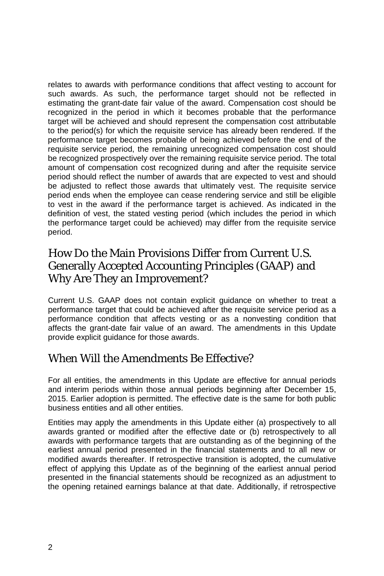relates to awards with performance conditions that affect vesting to account for such awards. As such, the performance target should not be reflected in estimating the grant-date fair value of the award. Compensation cost should be recognized in the period in which it becomes probable that the performance target will be achieved and should represent the compensation cost attributable to the period(s) for which the requisite service has already been rendered. If the performance target becomes probable of being achieved before the end of the requisite service period, the remaining unrecognized compensation cost should be recognized prospectively over the remaining requisite service period. The total amount of compensation cost recognized during and after the requisite service period should reflect the number of awards that are expected to vest and should be adjusted to reflect those awards that ultimately vest. The requisite service period ends when the employee can cease rendering service and still be eligible to vest in the award if the performance target is achieved. As indicated in the definition of vest, the stated vesting period (which includes the period in which the performance target could be achieved) may differ from the requisite service period.

### How Do the Main Provisions Differ from Current U.S. Generally Accepted Accounting Principles (GAAP) and Why Are They an Improvement?

Current U.S. GAAP does not contain explicit guidance on whether to treat a performance target that could be achieved after the requisite service period as a performance condition that affects vesting or as a nonvesting condition that affects the grant-date fair value of an award. The amendments in this Update provide explicit guidance for those awards.

### When Will the Amendments Be Effective?

For all entities, the amendments in this Update are effective for annual periods and interim periods within those annual periods beginning after December 15, 2015. Earlier adoption is permitted. The effective date is the same for both public business entities and all other entities.

Entities may apply the amendments in this Update either (a) prospectively to all awards granted or modified after the effective date or (b) retrospectively to all awards with performance targets that are outstanding as of the beginning of the earliest annual period presented in the financial statements and to all new or modified awards thereafter. If retrospective transition is adopted, the cumulative effect of applying this Update as of the beginning of the earliest annual period presented in the financial statements should be recognized as an adjustment to the opening retained earnings balance at that date. Additionally, if retrospective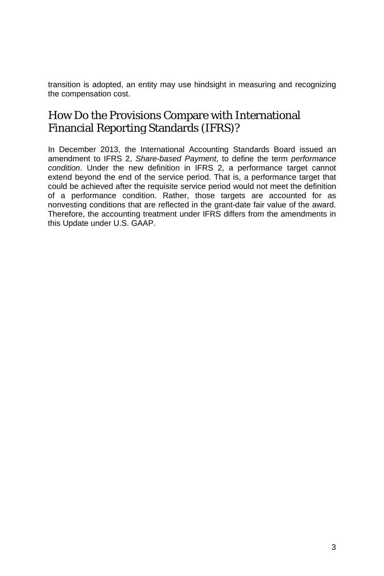transition is adopted, an entity may use hindsight in measuring and recognizing the compensation cost.

### How Do the Provisions Compare with International Financial Reporting Standards (IFRS)?

In December 2013, the International Accounting Standards Board issued an amendment to IFRS 2, *Share-based Payment*, to define the term *performance condition*. Under the new definition in IFRS 2, a performance target cannot extend beyond the end of the service period. That is, a performance target that could be achieved after the requisite service period would not meet the definition of a performance condition. Rather, those targets are accounted for as nonvesting conditions that are reflected in the grant-date fair value of the award. Therefore, the accounting treatment under IFRS differs from the amendments in this Update under U.S. GAAP.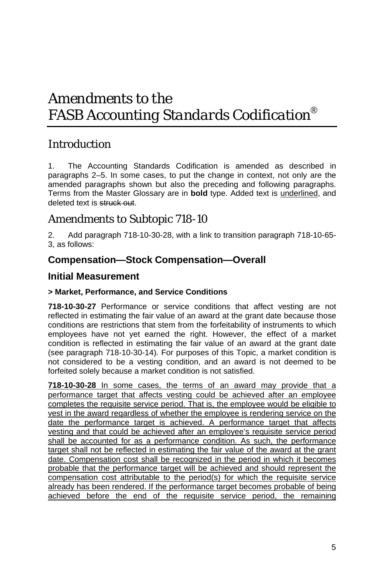# Amendments to the *FASB Accounting Standards Codification*®

### Introduction

1. The Accounting Standards Codification is amended as described in paragraphs 2–5. In some cases, to put the change in context, not only are the amended paragraphs shown but also the preceding and following paragraphs. Terms from the Master Glossary are in **bold** type. Added text is underlined, and deleted text is struck out.

### Amendments to Subtopic 718-10

2. Add paragraph 718-10-30-28, with a link to transition paragraph 718-10-65- 3, as follows:

### **Compensation—Stock Compensation—Overall**

### **Initial Measurement**

#### **> Market, Performance, and Service Conditions**

**718-10-30-27** Performance or service conditions that affect vesting are not reflected in estimating the fair value of an award at the grant date because those conditions are restrictions that stem from the forfeitability of instruments to which employees have not yet earned the right. However, the effect of a market condition is reflected in estimating the fair value of an award at the grant date (see paragraph 718-10-30-14). For purposes of this Topic, a market condition is not considered to be a vesting condition, and an award is not deemed to be forfeited solely because a market condition is not satisfied.

**718-10-30-28** In some cases, the terms of an award may provide that a performance target that affects vesting could be achieved after an employee completes the requisite service period. That is, the employee would be eligible to vest in the award regardless of whether the employee is rendering service on the date the performance target is achieved. A performance target that affects vesting and that could be achieved after an employee's requisite service period shall be accounted for as a performance condition. As such, the performance target shall not be reflected in estimating the fair value of the award at the grant date. Compensation cost shall be recognized in the period in which it becomes probable that the performance target will be achieved and should represent the compensation cost attributable to the period(s) for which the requisite service already has been rendered. If the performance target becomes probable of being achieved before the end of the requisite service period, the remaining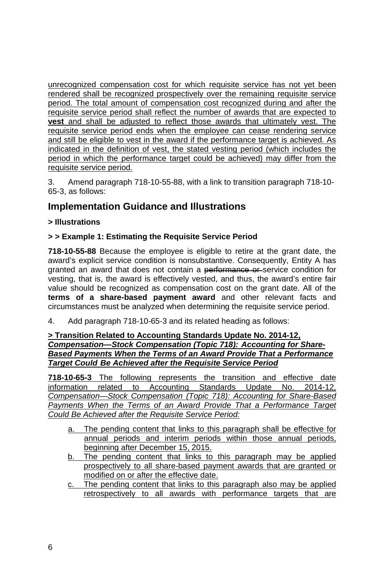unrecognized compensation cost for which requisite service has not yet been rendered shall be recognized prospectively over the remaining requisite service period. The total amount of compensation cost recognized during and after the requisite service period shall reflect the number of awards that are expected to **vest** and shall be adjusted to reflect those awards that ultimately vest. The requisite service period ends when the employee can cease rendering service and still be eligible to vest in the award if the performance target is achieved. As indicated in the definition of vest, the stated vesting period (which includes the period in which the performance target could be achieved) may differ from the requisite service period.

3. Amend paragraph 718-10-55-88, with a link to transition paragraph 718-10- 65-3, as follows:

### **Implementation Guidance and Illustrations**

#### **> Illustrations**

#### **> > Example 1: Estimating the Requisite Service Period**

**718-10-55-88** Because the employee is eligible to retire at the grant date, the award's explicit service condition is nonsubstantive. Consequently, Entity A has granted an award that does not contain a performance or service condition for vesting, that is, the award is effectively vested, and thus, the award's entire fair value should be recognized as compensation cost on the grant date. All of the **terms of a share-based payment award** and other relevant facts and circumstances must be analyzed when determining the requisite service period.

4. Add paragraph 718-10-65-3 and its related heading as follows:

#### **> Transition Related to Accounting Standards Update No. 2014-12,** *Compensation—Stock Compensation (Topic 718): Accounting for Share-Based Payments When the Terms of an Award Provide That a Performance Target Could Be Achieved after the Requisite Service Period*

**718-10-65-3** The following represents the transition and effective date information related to Accounting Standards Update No. 2014-12, *Compensation—Stock Compensation (Topic 718): Accounting for Share-Based Payments When the Terms of an Award Provide That a Performance Target Could Be Achieved after the Requisite Service Period:*

- a. The pending content that links to this paragraph shall be effective for annual periods and interim periods within those annual periods, beginning after December 15, 2015.
- b. The pending content that links to this paragraph may be applied prospectively to all share-based payment awards that are granted or modified on or after the effective date.
- c. The pending content that links to this paragraph also may be applied retrospectively to all awards with performance targets that are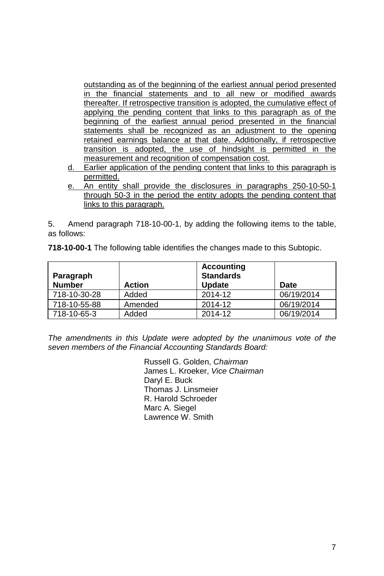outstanding as of the beginning of the earliest annual period presented in the financial statements and to all new or modified awards thereafter. If retrospective transition is adopted, the cumulative effect of applying the pending content that links to this paragraph as of the beginning of the earliest annual period presented in the financial statements shall be recognized as an adjustment to the opening retained earnings balance at that date. Additionally, if retrospective transition is adopted, the use of hindsight is permitted in the measurement and recognition of compensation cost.

- d. Earlier application of the pending content that links to this paragraph is permitted.
- e. An entity shall provide the disclosures in paragraphs 250-10-50-1 through 50-3 in the period the entity adopts the pending content that links to this paragraph.

5. Amend paragraph 718-10-00-1, by adding the following items to the table, as follows:

**718-10-00-1** The following table identifies the changes made to this Subtopic.

| Paragraph<br><b>Number</b> | <b>Action</b> | <b>Accounting</b><br><b>Standards</b><br><b>Update</b> | <b>Date</b> |
|----------------------------|---------------|--------------------------------------------------------|-------------|
| 718-10-30-28               | Added         | 2014-12                                                | 06/19/2014  |
| 718-10-55-88               | Amended       | 2014-12                                                | 06/19/2014  |
| 718-10-65-3                | Added         | 2014-12                                                | 06/19/2014  |

*The amendments in this Update were adopted by the unanimous vote of the seven members of the Financial Accounting Standards Board:*

> Russell G. Golden, *Chairman* James L. Kroeker, *Vice Chairman* Daryl E. Buck Thomas J. Linsmeier R. Harold Schroeder Marc A. Siegel Lawrence W. Smith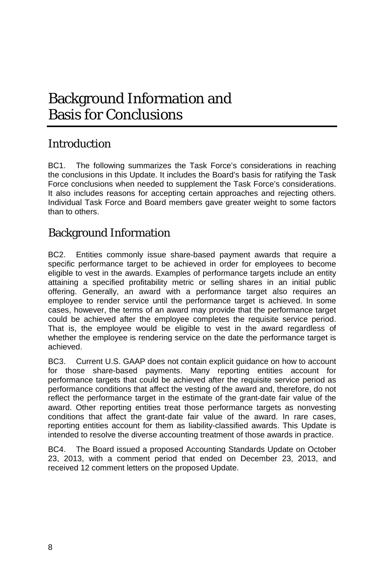# Background Information and Basis for Conclusions

### Introduction

BC1. The following summarizes the Task Force's considerations in reaching the conclusions in this Update. It includes the Board's basis for ratifying the Task Force conclusions when needed to supplement the Task Force's considerations. It also includes reasons for accepting certain approaches and rejecting others. Individual Task Force and Board members gave greater weight to some factors than to others.

### Background Information

BC2. Entities commonly issue share-based payment awards that require a specific performance target to be achieved in order for employees to become eligible to vest in the awards. Examples of performance targets include an entity attaining a specified profitability metric or selling shares in an initial public offering. Generally, an award with a performance target also requires an employee to render service until the performance target is achieved. In some cases, however, the terms of an award may provide that the performance target could be achieved after the employee completes the requisite service period. That is, the employee would be eligible to vest in the award regardless of whether the employee is rendering service on the date the performance target is achieved.

BC3. Current U.S. GAAP does not contain explicit guidance on how to account for those share-based payments. Many reporting entities account for performance targets that could be achieved after the requisite service period as performance conditions that affect the vesting of the award and, therefore, do not reflect the performance target in the estimate of the grant-date fair value of the award. Other reporting entities treat those performance targets as nonvesting conditions that affect the grant-date fair value of the award. In rare cases, reporting entities account for them as liability-classified awards. This Update is intended to resolve the diverse accounting treatment of those awards in practice.

BC4. The Board issued a proposed Accounting Standards Update on October 23, 2013, with a comment period that ended on December 23, 2013, and received 12 comment letters on the proposed Update.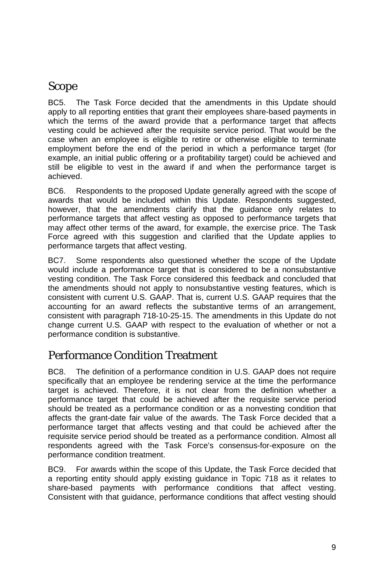### Scope

BC5. The Task Force decided that the amendments in this Update should apply to all reporting entities that grant their employees share-based payments in which the terms of the award provide that a performance target that affects vesting could be achieved after the requisite service period. That would be the case when an employee is eligible to retire or otherwise eligible to terminate employment before the end of the period in which a performance target (for example, an initial public offering or a profitability target) could be achieved and still be eligible to vest in the award if and when the performance target is achieved.

BC6. Respondents to the proposed Update generally agreed with the scope of awards that would be included within this Update. Respondents suggested, however, that the amendments clarify that the guidance only relates to performance targets that affect vesting as opposed to performance targets that may affect other terms of the award, for example, the exercise price. The Task Force agreed with this suggestion and clarified that the Update applies to performance targets that affect vesting.

BC7. Some respondents also questioned whether the scope of the Update would include a performance target that is considered to be a nonsubstantive vesting condition. The Task Force considered this feedback and concluded that the amendments should not apply to nonsubstantive vesting features, which is consistent with current U.S. GAAP. That is, current U.S. GAAP requires that the accounting for an award reflects the substantive terms of an arrangement, consistent with paragraph 718-10-25-15. The amendments in this Update do not change current U.S. GAAP with respect to the evaluation of whether or not a performance condition is substantive.

### Performance Condition Treatment

BC8. The definition of a performance condition in U.S. GAAP does not require specifically that an employee be rendering service at the time the performance target is achieved. Therefore, it is not clear from the definition whether a performance target that could be achieved after the requisite service period should be treated as a performance condition or as a nonvesting condition that affects the grant-date fair value of the awards. The Task Force decided that a performance target that affects vesting and that could be achieved after the requisite service period should be treated as a performance condition. Almost all respondents agreed with the Task Force's consensus-for-exposure on the performance condition treatment.

BC9. For awards within the scope of this Update, the Task Force decided that a reporting entity should apply existing guidance in Topic 718 as it relates to share-based payments with performance conditions that affect vesting. Consistent with that guidance, performance conditions that affect vesting should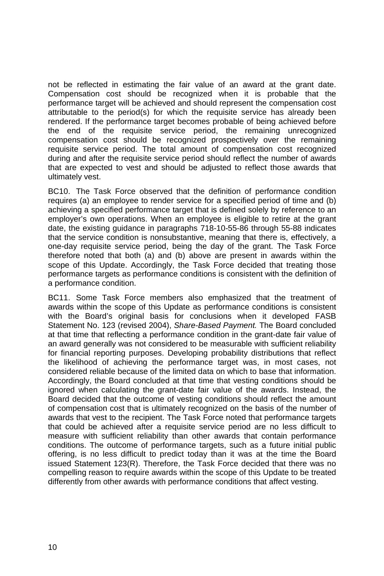not be reflected in estimating the fair value of an award at the grant date. Compensation cost should be recognized when it is probable that the performance target will be achieved and should represent the compensation cost attributable to the period(s) for which the requisite service has already been rendered. If the performance target becomes probable of being achieved before the end of the requisite service period, the remaining unrecognized compensation cost should be recognized prospectively over the remaining requisite service period. The total amount of compensation cost recognized during and after the requisite service period should reflect the number of awards that are expected to vest and should be adjusted to reflect those awards that ultimately vest.

BC10. The Task Force observed that the definition of performance condition requires (a) an employee to render service for a specified period of time and (b) achieving a specified performance target that is defined solely by reference to an employer's own operations. When an employee is eligible to retire at the grant date, the existing guidance in paragraphs 718-10-55-86 through 55-88 indicates that the service condition is nonsubstantive, meaning that there is, effectively, a one-day requisite service period, being the day of the grant. The Task Force therefore noted that both (a) and (b) above are present in awards within the scope of this Update. Accordingly, the Task Force decided that treating those performance targets as performance conditions is consistent with the definition of a performance condition.

BC11. Some Task Force members also emphasized that the treatment of awards within the scope of this Update as performance conditions is consistent with the Board's original basis for conclusions when it developed FASB Statement No. 123 (revised 2004), *Share-Based Payment.* The Board concluded at that time that reflecting a performance condition in the grant-date fair value of an award generally was not considered to be measurable with sufficient reliability for financial reporting purposes. Developing probability distributions that reflect the likelihood of achieving the performance target was, in most cases, not considered reliable because of the limited data on which to base that information. Accordingly, the Board concluded at that time that vesting conditions should be ignored when calculating the grant-date fair value of the awards. Instead, the Board decided that the outcome of vesting conditions should reflect the amount of compensation cost that is ultimately recognized on the basis of the number of awards that vest to the recipient. The Task Force noted that performance targets that could be achieved after a requisite service period are no less difficult to measure with sufficient reliability than other awards that contain performance conditions. The outcome of performance targets, such as a future initial public offering, is no less difficult to predict today than it was at the time the Board issued Statement 123(R). Therefore, the Task Force decided that there was no compelling reason to require awards within the scope of this Update to be treated differently from other awards with performance conditions that affect vesting.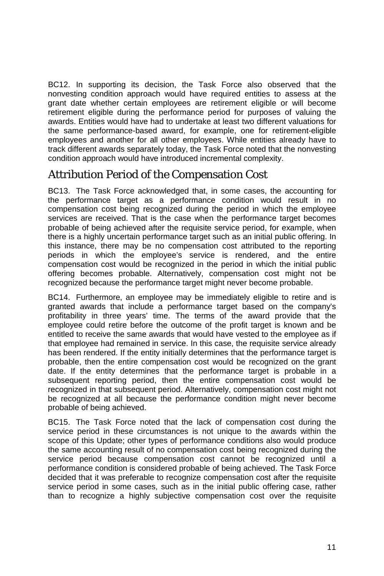BC12. In supporting its decision, the Task Force also observed that the nonvesting condition approach would have required entities to assess at the grant date whether certain employees are retirement eligible or will become retirement eligible during the performance period for purposes of valuing the awards. Entities would have had to undertake at least two different valuations for the same performance-based award, for example, one for retirement-eligible employees and another for all other employees. While entities already have to track different awards separately today, the Task Force noted that the nonvesting condition approach would have introduced incremental complexity.

### Attribution Period of the Compensation Cost

BC13. The Task Force acknowledged that, in some cases, the accounting for the performance target as a performance condition would result in no compensation cost being recognized during the period in which the employee services are received. That is the case when the performance target becomes probable of being achieved after the requisite service period, for example, when there is a highly uncertain performance target such as an initial public offering. In this instance, there may be no compensation cost attributed to the reporting periods in which the employee's service is rendered, and the entire compensation cost would be recognized in the period in which the initial public offering becomes probable. Alternatively, compensation cost might not be recognized because the performance target might never become probable.

BC14. Furthermore, an employee may be immediately eligible to retire and is granted awards that include a performance target based on the company's profitability in three years' time. The terms of the award provide that the employee could retire before the outcome of the profit target is known and be entitled to receive the same awards that would have vested to the employee as if that employee had remained in service. In this case, the requisite service already has been rendered. If the entity initially determines that the performance target is probable, then the entire compensation cost would be recognized on the grant date. If the entity determines that the performance target is probable in a subsequent reporting period, then the entire compensation cost would be recognized in that subsequent period. Alternatively, compensation cost might not be recognized at all because the performance condition might never become probable of being achieved.

BC15. The Task Force noted that the lack of compensation cost during the service period in these circumstances is not unique to the awards within the scope of this Update; other types of performance conditions also would produce the same accounting result of no compensation cost being recognized during the service period because compensation cost cannot be recognized until a performance condition is considered probable of being achieved. The Task Force decided that it was preferable to recognize compensation cost after the requisite service period in some cases, such as in the initial public offering case, rather than to recognize a highly subjective compensation cost over the requisite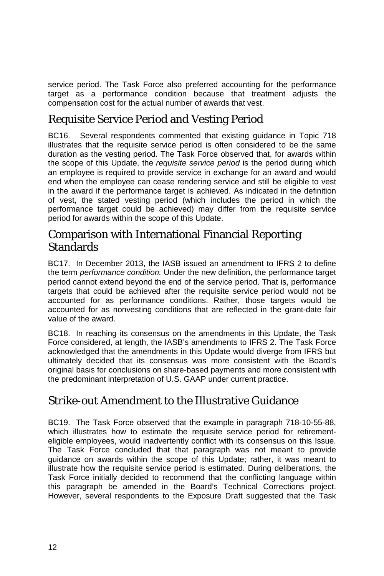service period. The Task Force also preferred accounting for the performance target as a performance condition because that treatment adjusts the compensation cost for the actual number of awards that vest.

## Requisite Service Period and Vesting Period

BC16. Several respondents commented that existing guidance in Topic 718 illustrates that the requisite service period is often considered to be the same duration as the vesting period. The Task Force observed that, for awards within the scope of this Update, the *requisite service period* is the period during which an employee is required to provide service in exchange for an award and would end when the employee can cease rendering service and still be eligible to vest in the award if the performance target is achieved. As indicated in the definition of vest, the stated vesting period (which includes the period in which the performance target could be achieved) may differ from the requisite service period for awards within the scope of this Update.

### Comparison with International Financial Reporting **Standards**

BC17. In December 2013, the IASB issued an amendment to IFRS 2 to define the term *performance condition.* Under the new definition, the performance target period cannot extend beyond the end of the service period. That is, performance targets that could be achieved after the requisite service period would not be accounted for as performance conditions. Rather, those targets would be accounted for as nonvesting conditions that are reflected in the grant-date fair value of the award.

BC18. In reaching its consensus on the amendments in this Update, the Task Force considered, at length, the IASB's amendments to IFRS 2. The Task Force acknowledged that the amendments in this Update would diverge from IFRS but ultimately decided that its consensus was more consistent with the Board's original basis for conclusions on share-based payments and more consistent with the predominant interpretation of U.S. GAAP under current practice.

### Strike-out Amendment to the Illustrative Guidance

BC19. The Task Force observed that the example in paragraph 718-10-55-88, which illustrates how to estimate the requisite service period for retirementeligible employees, would inadvertently conflict with its consensus on this Issue. The Task Force concluded that that paragraph was not meant to provide guidance on awards within the scope of this Update; rather, it was meant to illustrate how the requisite service period is estimated. During deliberations, the Task Force initially decided to recommend that the conflicting language within this paragraph be amended in the Board's Technical Corrections project. However, several respondents to the Exposure Draft suggested that the Task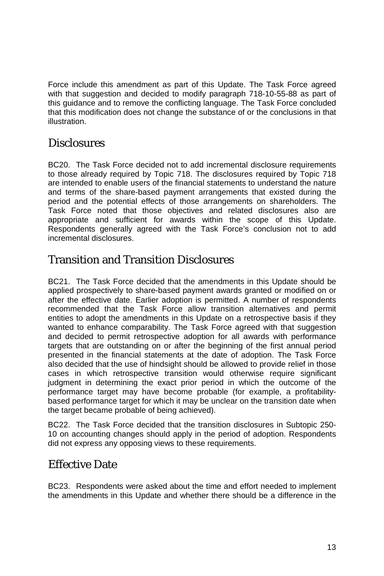Force include this amendment as part of this Update. The Task Force agreed with that suggestion and decided to modify paragraph 718-10-55-88 as part of this guidance and to remove the conflicting language. The Task Force concluded that this modification does not change the substance of or the conclusions in that illustration.

### **Disclosures**

BC20. The Task Force decided not to add incremental disclosure requirements to those already required by Topic 718. The disclosures required by Topic 718 are intended to enable users of the financial statements to understand the nature and terms of the share-based payment arrangements that existed during the period and the potential effects of those arrangements on shareholders. The Task Force noted that those objectives and related disclosures also are appropriate and sufficient for awards within the scope of this Update. Respondents generally agreed with the Task Force's conclusion not to add incremental disclosures.

### Transition and Transition Disclosures

BC21. The Task Force decided that the amendments in this Update should be applied prospectively to share-based payment awards granted or modified on or after the effective date. Earlier adoption is permitted. A number of respondents recommended that the Task Force allow transition alternatives and permit entities to adopt the amendments in this Update on a retrospective basis if they wanted to enhance comparability. The Task Force agreed with that suggestion and decided to permit retrospective adoption for all awards with performance targets that are outstanding on or after the beginning of the first annual period presented in the financial statements at the date of adoption. The Task Force also decided that the use of hindsight should be allowed to provide relief in those cases in which retrospective transition would otherwise require significant judgment in determining the exact prior period in which the outcome of the performance target may have become probable (for example, a profitabilitybased performance target for which it may be unclear on the transition date when the target became probable of being achieved).

BC22. The Task Force decided that the transition disclosures in Subtopic 250- 10 on accounting changes should apply in the period of adoption. Respondents did not express any opposing views to these requirements.

### Effective Date

BC23. Respondents were asked about the time and effort needed to implement the amendments in this Update and whether there should be a difference in the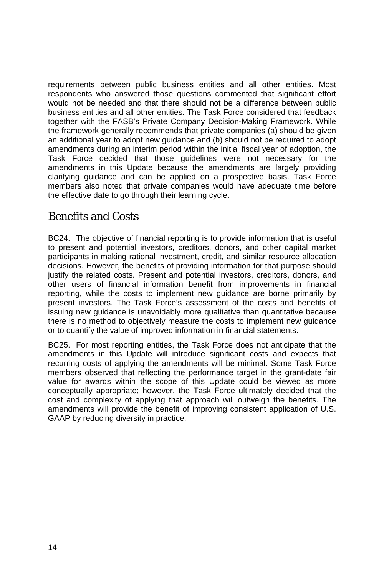requirements between public business entities and all other entities. Most respondents who answered those questions commented that significant effort would not be needed and that there should not be a difference between public business entities and all other entities. The Task Force considered that feedback together with the FASB's Private Company Decision-Making Framework. While the framework generally recommends that private companies (a) should be given an additional year to adopt new guidance and (b) should not be required to adopt amendments during an interim period within the initial fiscal year of adoption, the Task Force decided that those guidelines were not necessary for the amendments in this Update because the amendments are largely providing clarifying guidance and can be applied on a prospective basis. Task Force members also noted that private companies would have adequate time before the effective date to go through their learning cycle.

### Benefits and Costs

BC24. The objective of financial reporting is to provide information that is useful to present and potential investors, creditors, donors, and other capital market participants in making rational investment, credit, and similar resource allocation decisions. However, the benefits of providing information for that purpose should justify the related costs. Present and potential investors, creditors, donors, and other users of financial information benefit from improvements in financial reporting, while the costs to implement new guidance are borne primarily by present investors. The Task Force's assessment of the costs and benefits of issuing new guidance is unavoidably more qualitative than quantitative because there is no method to objectively measure the costs to implement new guidance or to quantify the value of improved information in financial statements.

BC25. For most reporting entities, the Task Force does not anticipate that the amendments in this Update will introduce significant costs and expects that recurring costs of applying the amendments will be minimal. Some Task Force members observed that reflecting the performance target in the grant-date fair value for awards within the scope of this Update could be viewed as more conceptually appropriate; however, the Task Force ultimately decided that the cost and complexity of applying that approach will outweigh the benefits. The amendments will provide the benefit of improving consistent application of U.S. GAAP by reducing diversity in practice.